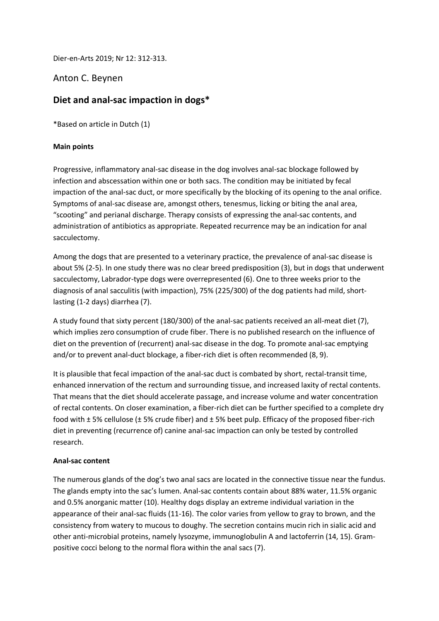Dier-en-Arts 2019; Nr 12: 312-313.

## Anton C. Beynen

# **Diet and anal-sac impaction in dogs\***

\*Based on article in Dutch (1)

#### **Main points**

Progressive, inflammatory anal-sac disease in the dog involves anal-sac blockage followed by infection and abscessation within one or both sacs. The condition may be initiated by fecal impaction of the anal-sac duct, or more specifically by the blocking of its opening to the anal orifice. Symptoms of anal-sac disease are, amongst others, tenesmus, licking or biting the anal area, "scooting" and perianal discharge. Therapy consists of expressing the anal-sac contents, and administration of antibiotics as appropriate. Repeated recurrence may be an indication for anal sacculectomy.

Among the dogs that are presented to a veterinary practice, the prevalence of anal-sac disease is about 5% (2-5). In one study there was no clear breed predisposition (3), but in dogs that underwent sacculectomy, Labrador-type dogs were overrepresented (6). One to three weeks prior to the diagnosis of anal sacculitis (with impaction), 75% (225/300) of the dog patients had mild, shortlasting (1-2 days) diarrhea (7).

A study found that sixty percent (180/300) of the anal-sac patients received an all-meat diet (7), which implies zero consumption of crude fiber. There is no published research on the influence of diet on the prevention of (recurrent) anal-sac disease in the dog. To promote anal-sac emptying and/or to prevent anal-duct blockage, a fiber-rich diet is often recommended (8, 9).

It is plausible that fecal impaction of the anal-sac duct is combated by short, rectal-transit time, enhanced innervation of the rectum and surrounding tissue, and increased laxity of rectal contents. That means that the diet should accelerate passage, and increase volume and water concentration of rectal contents. On closer examination, a fiber-rich diet can be further specified to a complete dry food with ± 5% cellulose (± 5% crude fiber) and ± 5% beet pulp. Efficacy of the proposed fiber-rich diet in preventing (recurrence of) canine anal-sac impaction can only be tested by controlled research.

#### **Anal-sac content**

The numerous glands of the dog's two anal sacs are located in the connective tissue near the fundus. The glands empty into the sac's lumen. Anal-sac contents contain about 88% water, 11.5% organic and 0.5% anorganic matter (10). Healthy dogs display an extreme individual variation in the appearance of their anal-sac fluids (11-16). The color varies from yellow to gray to brown, and the consistency from watery to mucous to doughy. The secretion contains mucin rich in sialic acid and other anti-microbial proteins, namely lysozyme, immunoglobulin A and lactoferrin (14, 15). Grampositive cocci belong to the normal flora within the anal sacs (7).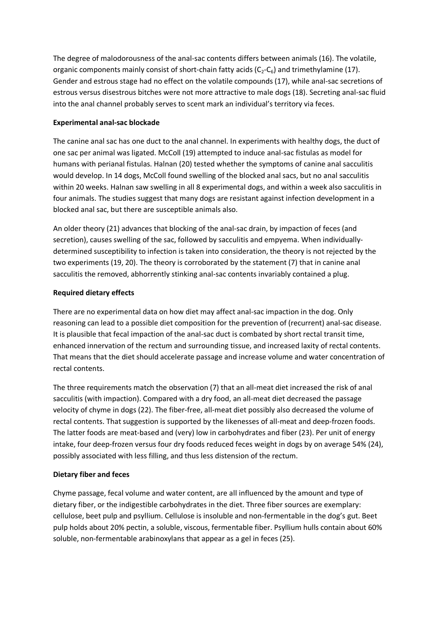The degree of malodorousness of the anal-sac contents differs between animals (16). The volatile, organic components mainly consist of short-chain fatty acids  $(C_2-C_6)$  and trimethylamine (17). Gender and estrous stage had no effect on the volatile compounds (17), while anal-sac secretions of estrous versus disestrous bitches were not more attractive to male dogs (18). Secreting anal-sac fluid into the anal channel probably serves to scent mark an individual's territory via feces.

## **Experimental anal-sac blockade**

The canine anal sac has one duct to the anal channel. In experiments with healthy dogs, the duct of one sac per animal was ligated. McColl (19) attempted to induce anal-sac fistulas as model for humans with perianal fistulas. Halnan (20) tested whether the symptoms of canine anal sacculitis would develop. In 14 dogs, McColl found swelling of the blocked anal sacs, but no anal sacculitis within 20 weeks. Halnan saw swelling in all 8 experimental dogs, and within a week also sacculitis in four animals. The studies suggest that many dogs are resistant against infection development in a blocked anal sac, but there are susceptible animals also.

An older theory (21) advances that blocking of the anal-sac drain, by impaction of feces (and secretion), causes swelling of the sac, followed by sacculitis and empyema. When individuallydetermined susceptibility to infection is taken into consideration, the theory is not rejected by the two experiments (19, 20). The theory is corroborated by the statement (7) that in canine anal sacculitis the removed, abhorrently stinking anal-sac contents invariably contained a plug.

## **Required dietary effects**

There are no experimental data on how diet may affect anal-sac impaction in the dog. Only reasoning can lead to a possible diet composition for the prevention of (recurrent) anal-sac disease. It is plausible that fecal impaction of the anal-sac duct is combated by short rectal transit time, enhanced innervation of the rectum and surrounding tissue, and increased laxity of rectal contents. That means that the diet should accelerate passage and increase volume and water concentration of rectal contents.

The three requirements match the observation (7) that an all-meat diet increased the risk of anal sacculitis (with impaction). Compared with a dry food, an all-meat diet decreased the passage velocity of chyme in dogs (22). The fiber-free, all-meat diet possibly also decreased the volume of rectal contents. That suggestion is supported by the likenesses of all-meat and deep-frozen foods. The latter foods are meat-based and (very) low in carbohydrates and fiber (23). Per unit of energy intake, four deep-frozen versus four dry foods reduced feces weight in dogs by on average 54% (24), possibly associated with less filling, and thus less distension of the rectum.

#### **Dietary fiber and feces**

Chyme passage, fecal volume and water content, are all influenced by the amount and type of dietary fiber, or the indigestible carbohydrates in the diet. Three fiber sources are exemplary: cellulose, beet pulp and psyllium. Cellulose is insoluble and non-fermentable in the dog's gut. Beet pulp holds about 20% pectin, a soluble, viscous, fermentable fiber. Psyllium hulls contain about 60% soluble, non-fermentable arabinoxylans that appear as a gel in feces (25).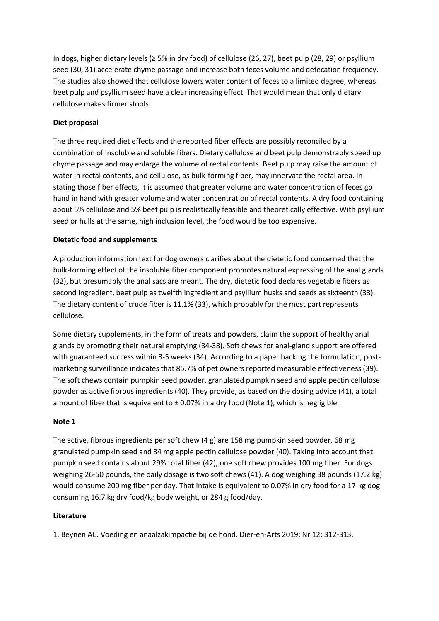In dogs, higher dietary levels (≥ 5% in dry food) of cellulose (26, 27), beet pulp (28, 29) or psyllium seed (30, 31) accelerate chyme passage and increase both feces volume and defecation frequency. The studies also showed that cellulose lowers water content of feces to a limited degree, whereas beet pulp and psyllium seed have a clear increasing effect. That would mean that only dietary cellulose makes firmer stools.

## **Diet proposal**

The three required diet effects and the reported fiber effects are possibly reconciled by a combination of insoluble and soluble fibers. Dietary cellulose and beet pulp demonstrably speed up chyme passage and may enlarge the volume of rectal contents. Beet pulp may raise the amount of water in rectal contents, and cellulose, as bulk-forming fiber, may innervate the rectal area. In stating those fiber effects, it is assumed that greater volume and water concentration of feces go hand in hand with greater volume and water concentration of rectal contents. A dry food containing about 5% cellulose and 5% beet pulp is realistically feasible and theoretically effective. With psyllium seed or hulls at the same, high inclusion level, the food would be too expensive.

#### **Dietetic food and supplements**

A production information text for dog owners clarifies about the dietetic food concerned that the bulk-forming effect of the insoluble fiber component promotes natural expressing of the anal glands (32), but presumably the anal sacs are meant. The dry, dietetic food declares vegetable fibers as second ingredient, beet pulp as twelfth ingredient and psyllium husks and seeds as sixteenth (33). The dietary content of crude fiber is 11.1% (33), which probably for the most part represents cellulose.

Some dietary supplements, in the form of treats and powders, claim the support of healthy anal glands by promoting their natural emptying (34-38). Soft chews for anal-gland support are offered with guaranteed success within 3-5 weeks (34). According to a paper backing the formulation, postmarketing surveillance indicates that 85.7% of pet owners reported measurable effectiveness (39). The soft chews contain pumpkin seed powder, granulated pumpkin seed and apple pectin cellulose powder as active fibrous ingredients (40). They provide, as based on the dosing advice (41), a total amount of fiber that is equivalent to  $\pm$  0.07% in a dry food (Note 1), which is negligible.

#### **Note 1**

The active, fibrous ingredients per soft chew  $(4 g)$  are 158 mg pumpkin seed powder, 68 mg granulated pumpkin seed and 34 mg apple pectin cellulose powder (40). Taking into account that pumpkin seed contains about 29% total fiber (42), one soft chew provides 100 mg fiber. For dogs weighing 26-50 pounds, the daily dosage is two soft chews (41). A dog weighing 38 pounds (17.2 kg) would consume 200 mg fiber per day. That intake is equivalent to 0.07% in dry food for a 17-kg dog consuming 16.7 kg dry food/kg body weight, or 284 g food/day.

#### **Literature**

1. Beynen AC. Voeding en anaalzakimpactie bij de hond. Dier-en-Arts 2019; Nr 12: 312-313.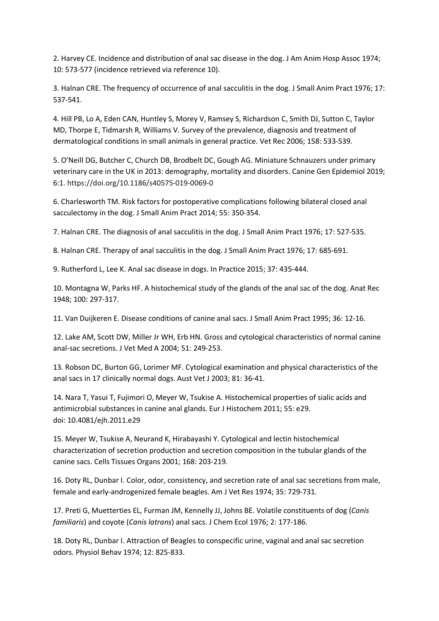2. Harvey CE. Incidence and distribution of anal sac disease in the dog. J Am Anim Hosp Assoc 1974; 10: 573-577 (incidence retrieved via reference 10).

3. Halnan CRE. The frequency of occurrence of anal sacculitis in the dog. J Small Anim Pract 1976; 17: 537-541.

4. Hill PB, Lo A, Eden CAN, Huntley S, Morey V, Ramsey S, Richardson C, Smith DJ, Sutton C, Taylor MD, Thorpe E, Tidmarsh R, Williams V. Survey of the prevalence, diagnosis and treatment of dermatological conditions in small animals in general practice. Vet Rec 2006; 158: 533-539.

5. O'Neill DG, Butcher C, Church DB, Brodbelt DC, Gough AG. Miniature Schnauzers under primary veterinary care in the UK in 2013: demography, mortality and disorders. Canine Gen Epidemiol 2019; 6:1. https://doi.org/10.1186/s40575-019-0069-0

6. Charlesworth TM. Risk factors for postoperative complications following bilateral closed anal sacculectomy in the dog. J Small Anim Pract 2014; 55: 350-354.

7. Halnan CRE. The diagnosis of anal sacculitis in the dog. J Small Anim Pract 1976; 17: 527-535.

8. Halnan CRE. Therapy of anal sacculitis in the dog. J Small Anim Pract 1976; 17: 685-691.

9. Rutherford L, Lee K. Anal sac disease in dogs. In Practice 2015; 37: 435-444.

10. Montagna W, Parks HF. A histochemical study of the glands of the anal sac of the dog. Anat Rec 1948; 100: 297-317.

11. Van Duijkeren E. Disease conditions of canine anal sacs. J Small Anim Pract 1995; 36: 12-16.

12. Lake AM, Scott DW, Miller Jr WH, Erb HN. Gross and cytological characteristics of normal canine anal-sac secretions. J Vet Med A 2004; 51: 249-253.

13. Robson DC, Burton GG, Lorimer MF. Cytological examination and physical characteristics of the anal sacs in 17 clinically normal dogs. Aust Vet J 2003; 81: 36-41.

14. Nara T, Yasui T, Fujimori O, Meyer W, Tsukise A. Histochemical properties of sialic acids and antimicrobial substances in canine anal glands. Eur J Histochem 2011; 55: e29. doi: 10.4081/ejh.2011.e29

15. Meyer W, Tsukise A, Neurand K, Hirabayashi Y. Cytological and lectin histochemical characterization of secretion production and secretion composition in the tubular glands of the canine sacs. Cells Tissues Organs 2001; 168: 203-219.

16. Doty RL, Dunbar I. Color, odor, consistency, and secretion rate of anal sac secretions from male, female and early-androgenized female beagles. Am J Vet Res 1974; 35: 729-731.

17. Preti G, Muetterties EL, Furman JM, Kennelly JJ, Johns BE. Volatile constituents of dog (*Canis familiaris*) and coyote (*Canis latrans*) anal sacs. J Chem Ecol 1976; 2: 177-186.

18. Doty RL, Dunbar I. Attraction of Beagles to conspecific urine, vaginal and anal sac secretion odors. Physiol Behav 1974; 12: 825-833.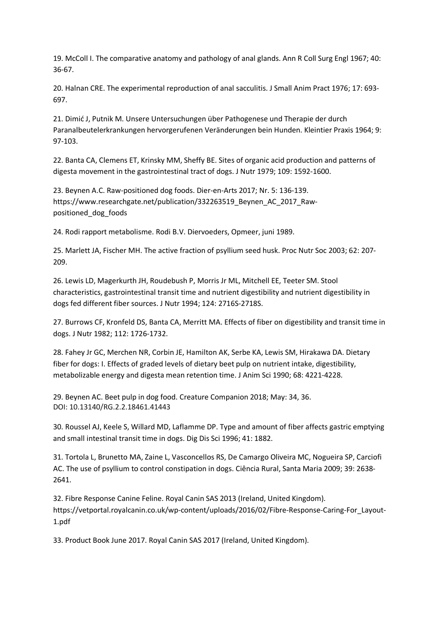19. McColl I. The comparative anatomy and pathology of anal glands. Ann R Coll Surg Engl 1967; 40: 36-67.

20. Halnan CRE. The experimental reproduction of anal sacculitis. J Small Anim Pract 1976; 17: 693- 697.

21. Dimić J, Putnik M. Unsere Untersuchungen über Pathogenese und Therapie der durch Paranalbeutelerkrankungen hervorgerufenen Veränderungen bein Hunden. Kleintier Praxis 1964; 9: 97-103.

22. Banta CA, Clemens ET, Krinsky MM, Sheffy BE. Sites of organic acid production and patterns of digesta movement in the gastrointestinal tract of dogs. J Nutr 1979; 109: 1592-1600.

23. Beynen A.C. Raw-positioned dog foods. Dier-en-Arts 2017; Nr. 5: 136-139. https://www.researchgate.net/publication/332263519 Beynen AC 2017 Rawpositioned\_dog\_foods

24. Rodi rapport metabolisme. Rodi B.V. Diervoeders, Opmeer, juni 1989.

25. Marlett JA, Fischer MH. The active fraction of psyllium seed husk. Proc Nutr Soc 2003; 62: 207- 209.

26. Lewis LD, Magerkurth JH, Roudebush P, Morris Jr ML, Mitchell EE, Teeter SM. Stool characteristics, gastrointestinal transit time and nutrient digestibility and nutrient digestibility in dogs fed different fiber sources. J Nutr 1994; 124: 2716S-2718S.

27. Burrows CF, Kronfeld DS, Banta CA, Merritt MA. Effects of fiber on digestibility and transit time in dogs. J Nutr 1982; 112: 1726-1732.

28. Fahey Jr GC, Merchen NR, Corbin JE, Hamilton AK, Serbe KA, Lewis SM, Hirakawa DA. Dietary fiber for dogs: I. Effects of graded levels of dietary beet pulp on nutrient intake, digestibility, metabolizable energy and digesta mean retention time. J Anim Sci 1990; 68: 4221-4228.

29. Beynen AC. Beet pulp in dog food. Creature Companion 2018; May: 34, 36. DOI: 10.13140/RG.2.2.18461.41443

30. Roussel AJ, Keele S, Willard MD, Laflamme DP. Type and amount of fiber affects gastric emptying and small intestinal transit time in dogs. Dig Dis Sci 1996; 41: 1882.

31. Tortola L, Brunetto MA, Zaine L, Vasconcellos RS, De Camargo Oliveira MC, Nogueira SP, Carciofi AC. The use of psyllium to control constipation in dogs. Ciência Rural, Santa Maria 2009; 39: 2638- 2641.

32. Fibre Response Canine Feline. Royal Canin SAS 2013 (Ireland, United Kingdom). https://vetportal.royalcanin.co.uk/wp-content/uploads/2016/02/Fibre-Response-Caring-For\_Layout-1.pdf

33. Product Book June 2017. Royal Canin SAS 2017 (Ireland, United Kingdom).